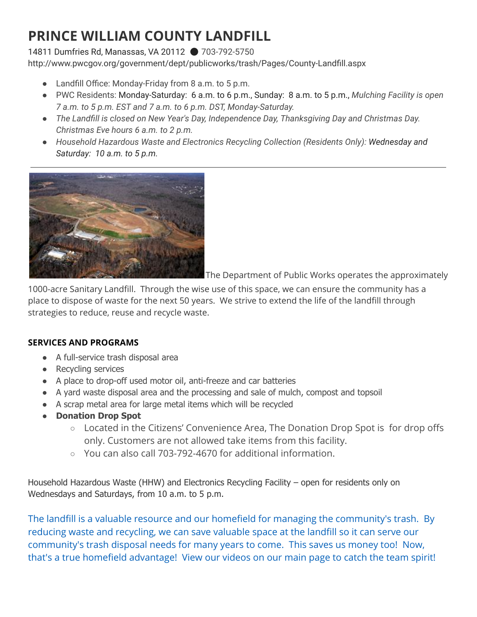## PRINCE WILLIAM COUNTY LANDFILL

14811 Dumfries Rd, Manassas, VA 20112 ⚫ 703-792-5750 http://www.pwcgov.org/government/dept/publicworks/trash/Pages/County-Landfill.aspx

- Landfill Office: Monday-Friday from 8 a.m. to 5 p.m.
- PWC Residents: Monday-Saturday: 6 a.m. to 6 p.m., Sunday: 8 a.m. to 5 p.m., Mulching Facility is open 7 a.m. to 5 p.m. EST and 7 a.m. to 6 p.m. DST, Monday-Saturday.
- The Landfill is closed on New Year's Day, Independence Day, Thanksgiving Day and Christmas Day. Christmas Eve hours 6 a.m. to 2 p.m.
- Household Hazardous Waste and Electronics Recycling Collection (Residents Only): Wednesday and Saturday: 10 a.m. to 5 p.m.



The Department of Public Works operates the approximately

1000-acre Sanitary Landfill. Through the wise use of this space, we can ensure the community has a place to dispose of waste for the next 50 years. We strive to extend the life of the landfill through strategies to reduce, reuse and recycle waste.

## SERVICES AND PROGRAMS

- A full-service trash disposal area
- Recycling services
- A place to drop-off used motor oil, anti-freeze and car batteries
- A yard waste disposal area and the processing and sale of mulch, compost and topsoil
- A scrap metal area for large metal items which will be recycled
- Donation Drop Spot
	- Located in the Citizens' Convenience Area, The Donation Drop Spot is for drop offs only. Customers are not allowed take items from this facility.
	- You can also call 703-792-4670 for additional information.

Household Hazardous Waste (HHW) and Electronics Recycling Facility – open for residents only on Wednesdays and Saturdays, from 10 a.m. to 5 p.m.

The landfill is a valuable resource and our homefield for managing the community's trash. By reducing waste and recycling, we can save valuable space at the landfill so it can serve our community's trash disposal needs for many years to come. This saves us money too! Now, that's a true homefield advantage! View our videos on our main page to catch the team spirit!